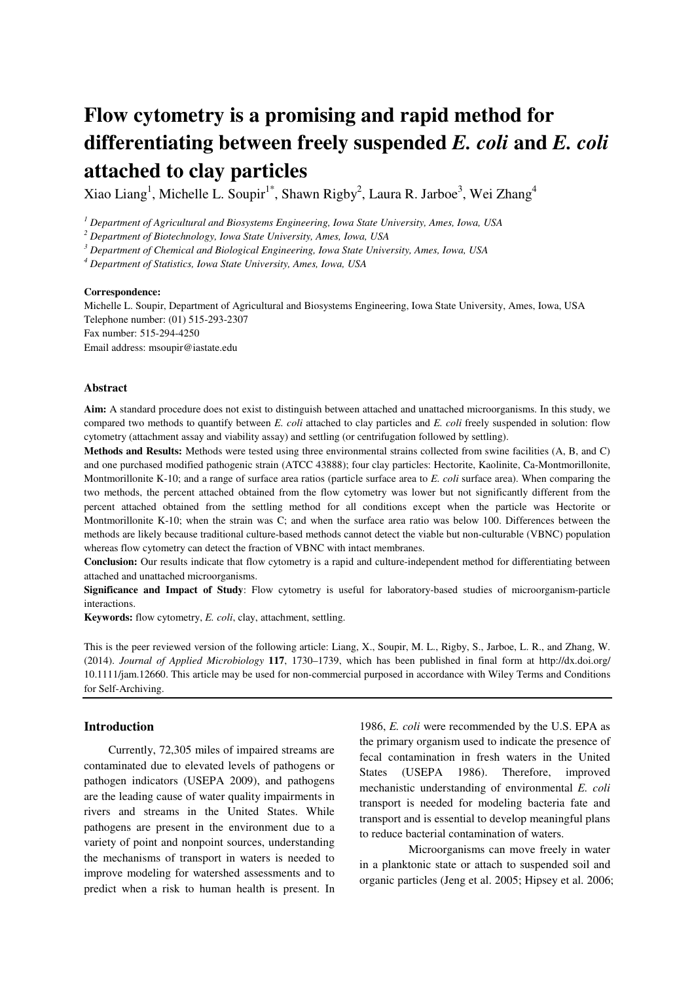# **Flow cytometry is a promising and rapid method for differentiating between freely suspended** *E. coli* **and** *E. coli* **attached to clay particles**

Xiao Liang<sup>1</sup>, Michelle L. Soupir<sup>1\*</sup>, Shawn Rigby<sup>2</sup>, Laura R. Jarboe<sup>3</sup>, Wei Zhang<sup>4</sup>

*1 Department of Agricultural and Biosystems Engineering, Iowa State University, Ames, Iowa, USA* 

*2 Department of Biotechnology, Iowa State University, Ames, Iowa, USA* 

*3 Department of Chemical and Biological Engineering, Iowa State University, Ames, Iowa, USA* 

*4 Department of Statistics, Iowa State University, Ames, Iowa, USA* 

#### **Correspondence:**

Michelle L. Soupir, Department of Agricultural and Biosystems Engineering, Iowa State University, Ames, Iowa, USA Telephone number: (01) 515-293-2307 Fax number: 515-294-4250 Email address: msoupir@iastate.edu

#### **Abstract**

**Aim:** A standard procedure does not exist to distinguish between attached and unattached microorganisms. In this study, we compared two methods to quantify between *E. coli* attached to clay particles and *E. coli* freely suspended in solution: flow cytometry (attachment assay and viability assay) and settling (or centrifugation followed by settling).

**Methods and Results:** Methods were tested using three environmental strains collected from swine facilities (A, B, and C) and one purchased modified pathogenic strain (ATCC 43888); four clay particles: Hectorite, Kaolinite, Ca-Montmorillonite, Montmorillonite K-10; and a range of surface area ratios (particle surface area to *E. coli* surface area). When comparing the two methods, the percent attached obtained from the flow cytometry was lower but not significantly different from the percent attached obtained from the settling method for all conditions except when the particle was Hectorite or Montmorillonite K-10; when the strain was C; and when the surface area ratio was below 100. Differences between the methods are likely because traditional culture-based methods cannot detect the viable but non-culturable (VBNC) population whereas flow cytometry can detect the fraction of VBNC with intact membranes.

**Conclusion:** Our results indicate that flow cytometry is a rapid and culture-independent method for differentiating between attached and unattached microorganisms.

**Significance and Impact of Study**: Flow cytometry is useful for laboratory-based studies of microorganism-particle interactions.

**Keywords:** flow cytometry, *E. coli*, clay, attachment, settling.

This is the peer reviewed version of the following article: Liang, X., Soupir, M. L., Rigby, S., Jarboe, L. R., and Zhang, W. (2014). *Journal of Applied Microbiology* **117**, 1730–1739, which has been published in final form at http://dx.doi.org/ 10.1111/jam.12660. This article may be used for non-commercial purposed in accordance with Wiley Terms and Conditions for Self-Archiving.

#### **Introduction**

 Currently, 72,305 miles of impaired streams are contaminated due to elevated levels of pathogens or pathogen indicators (USEPA 2009), and pathogens are the leading cause of water quality impairments in rivers and streams in the United States. While pathogens are present in the environment due to a variety of point and nonpoint sources, understanding the mechanisms of transport in waters is needed to improve modeling for watershed assessments and to predict when a risk to human health is present. In

1986, *E. coli* were recommended by the U.S. EPA as the primary organism used to indicate the presence of fecal contamination in fresh waters in the United States (USEPA 1986). Therefore, improved mechanistic understanding of environmental *E. coli* transport is needed for modeling bacteria fate and transport and is essential to develop meaningful plans to reduce bacterial contamination of waters.

 Microorganisms can move freely in water in a planktonic state or attach to suspended soil and organic particles (Jeng et al. 2005; Hipsey et al. 2006;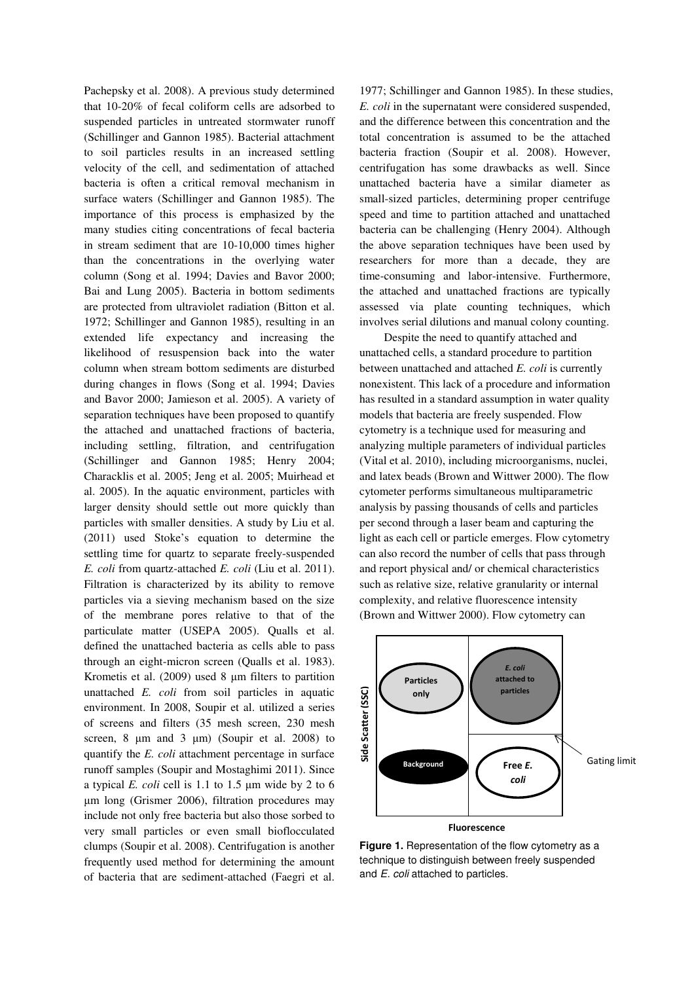Pachepsky et al. 2008). A previous study determined that 10-20% of fecal coliform cells are adsorbed to suspended particles in untreated stormwater runoff (Schillinger and Gannon 1985). Bacterial attachment to soil particles results in an increased settling velocity of the cell, and sedimentation of attached bacteria is often a critical removal mechanism in surface waters (Schillinger and Gannon 1985). The importance of this process is emphasized by the many studies citing concentrations of fecal bacteria in stream sediment that are 10-10,000 times higher than the concentrations in the overlying water column (Song et al. 1994; Davies and Bavor 2000; Bai and Lung 2005). Bacteria in bottom sediments are protected from ultraviolet radiation (Bitton et al. 1972; Schillinger and Gannon 1985), resulting in an extended life expectancy and increasing the likelihood of resuspension back into the water column when stream bottom sediments are disturbed during changes in flows (Song et al. 1994; Davies and Bavor 2000; Jamieson et al. 2005). A variety of separation techniques have been proposed to quantify the attached and unattached fractions of bacteria, including settling, filtration, and centrifugation (Schillinger and Gannon 1985; Henry 2004; Characklis et al. 2005; Jeng et al. 2005; Muirhead et al. 2005). In the aquatic environment, particles with larger density should settle out more quickly than particles with smaller densities. A study by Liu et al. (2011) used Stoke's equation to determine the settling time for quartz to separate freely-suspended *E. coli* from quartz-attached *E. coli* (Liu et al. 2011). Filtration is characterized by its ability to remove particles via a sieving mechanism based on the size of the membrane pores relative to that of the particulate matter (USEPA 2005). Qualls et al. defined the unattached bacteria as cells able to pass through an eight-micron screen (Qualls et al. 1983). Krometis et al. (2009) used 8  $\mu$ m filters to partition unattached *E. coli* from soil particles in aquatic environment. In 2008, Soupir et al. utilized a series of screens and filters (35 mesh screen, 230 mesh screen,  $8 \mu m$  and  $3 \mu m$ ) (Soupir et al. 2008) to quantify the *E. coli* attachment percentage in surface runoff samples (Soupir and Mostaghimi 2011). Since a typical *E. coli* cell is 1.1 to 1.5 µm wide by 2 to 6 µm long (Grismer 2006), filtration procedures may include not only free bacteria but also those sorbed to very small particles or even small bioflocculated clumps (Soupir et al. 2008). Centrifugation is another frequently used method for determining the amount of bacteria that are sediment-attached (Faegri et al.

1977; Schillinger and Gannon 1985). In these studies, *E. coli* in the supernatant were considered suspended, and the difference between this concentration and the total concentration is assumed to be the attached bacteria fraction (Soupir et al. 2008). However, centrifugation has some drawbacks as well. Since unattached bacteria have a similar diameter as small-sized particles, determining proper centrifuge speed and time to partition attached and unattached bacteria can be challenging (Henry 2004). Although the above separation techniques have been used by researchers for more than a decade, they are time-consuming and labor-intensive. Furthermore, the attached and unattached fractions are typically assessed via plate counting techniques, which involves serial dilutions and manual colony counting.

 Despite the need to quantify attached and unattached cells, a standard procedure to partition between unattached and attached *E. coli* is currently nonexistent. This lack of a procedure and information has resulted in a standard assumption in water quality models that bacteria are freely suspended. Flow cytometry is a technique used for measuring and analyzing multiple parameters of individual particles (Vital et al. 2010), including microorganisms, nuclei, and latex beads (Brown and Wittwer 2000). The flow cytometer performs simultaneous multiparametric analysis by passing thousands of cells and particles per second through a laser beam and capturing the light as each cell or particle emerges. Flow cytometry can also record the number of cells that pass through and report physical and/ or chemical characteristics such as relative size, relative granularity or internal complexity, and relative fluorescence intensity (Brown and Wittwer 2000). Flow cytometry can



**Figure 1.** Representation of the flow cytometry as a technique to distinguish between freely suspended and E. coli attached to particles.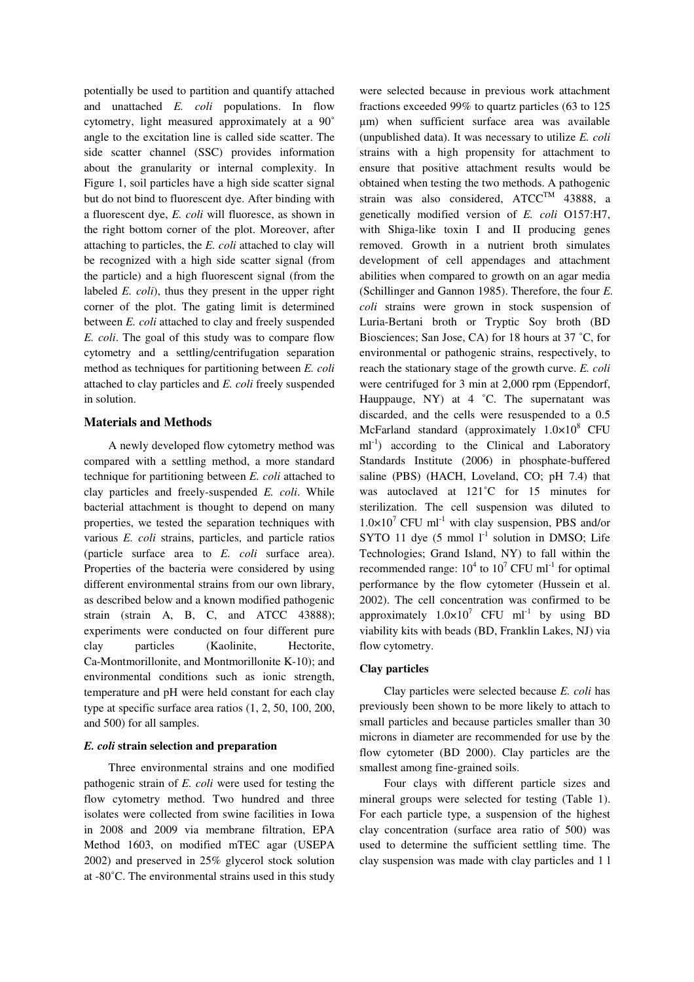potentially be used to partition and quantify attached and unattached *E. coli* populations. In flow cytometry, light measured approximately at a 90˚ angle to the excitation line is called side scatter. The side scatter channel (SSC) provides information about the granularity or internal complexity. In Figure 1, soil particles have a high side scatter signal but do not bind to fluorescent dye. After binding with a fluorescent dye, *E. coli* will fluoresce, as shown in the right bottom corner of the plot. Moreover, after attaching to particles, the *E. coli* attached to clay will be recognized with a high side scatter signal (from the particle) and a high fluorescent signal (from the labeled *E. coli*), thus they present in the upper right corner of the plot. The gating limit is determined between *E. coli* attached to clay and freely suspended *E. coli*. The goal of this study was to compare flow cytometry and a settling/centrifugation separation method as techniques for partitioning between *E. coli* attached to clay particles and *E. coli* freely suspended in solution.

## **Materials and Methods**

A newly developed flow cytometry method was compared with a settling method, a more standard technique for partitioning between *E. coli* attached to clay particles and freely-suspended *E. coli*. While bacterial attachment is thought to depend on many properties, we tested the separation techniques with various *E. coli* strains, particles, and particle ratios (particle surface area to *E. coli* surface area). Properties of the bacteria were considered by using different environmental strains from our own library, as described below and a known modified pathogenic strain (strain A, B, C, and ATCC 43888); experiments were conducted on four different pure clay particles (Kaolinite, Hectorite, Ca-Montmorillonite, and Montmorillonite K-10); and environmental conditions such as ionic strength, temperature and pH were held constant for each clay type at specific surface area ratios (1, 2, 50, 100, 200, and 500) for all samples.

#### *E. coli* **strain selection and preparation**

Three environmental strains and one modified pathogenic strain of *E. coli* were used for testing the flow cytometry method. Two hundred and three isolates were collected from swine facilities in Iowa in 2008 and 2009 via membrane filtration, EPA Method 1603, on modified mTEC agar (USEPA 2002) and preserved in 25% glycerol stock solution at -80˚C. The environmental strains used in this study

were selected because in previous work attachment fractions exceeded 99% to quartz particles (63 to 125 µm) when sufficient surface area was available (unpublished data). It was necessary to utilize *E. coli* strains with a high propensity for attachment to ensure that positive attachment results would be obtained when testing the two methods. A pathogenic strain was also considered,  $ATCC<sup>TM</sup>$  43888, a genetically modified version of *E. coli* O157:H7, with Shiga-like toxin I and II producing genes removed. Growth in a nutrient broth simulates development of cell appendages and attachment abilities when compared to growth on an agar media (Schillinger and Gannon 1985). Therefore, the four *E. coli* strains were grown in stock suspension of Luria-Bertani broth or Tryptic Soy broth (BD Biosciences; San Jose, CA) for 18 hours at 37 ˚C, for environmental or pathogenic strains, respectively, to reach the stationary stage of the growth curve. *E. coli* were centrifuged for 3 min at 2,000 rpm (Eppendorf, Hauppauge, NY) at 4 °C. The supernatant was discarded, and the cells were resuspended to a 0.5 McFarland standard (approximately  $1.0 \times 10^8$  CFU  $ml^{-1}$ ) according to the Clinical and Laboratory Standards Institute (2006) in phosphate-buffered saline (PBS) (HACH, Loveland, CO; pH 7.4) that was autoclaved at 121°C for 15 minutes for sterilization. The cell suspension was diluted to  $1.0 \times 10^7$  CFU ml<sup>-1</sup> with clay suspension, PBS and/or SYTO 11 dye (5 mmol  $1<sup>-1</sup>$  solution in DMSO; Life Technologies; Grand Island, NY) to fall within the recommended range:  $10^4$  to  $10^7$  CFU ml<sup>-1</sup> for optimal performance by the flow cytometer (Hussein et al. 2002). The cell concentration was confirmed to be approximately  $1.0 \times 10^7$  CFU ml<sup>-1</sup> by using BD viability kits with beads (BD, Franklin Lakes, NJ) via flow cytometry.

## **Clay particles**

Clay particles were selected because *E. coli* has previously been shown to be more likely to attach to small particles and because particles smaller than 30 microns in diameter are recommended for use by the flow cytometer (BD 2000). Clay particles are the smallest among fine-grained soils.

Four clays with different particle sizes and mineral groups were selected for testing (Table 1). For each particle type, a suspension of the highest clay concentration (surface area ratio of 500) was used to determine the sufficient settling time. The clay suspension was made with clay particles and 1 l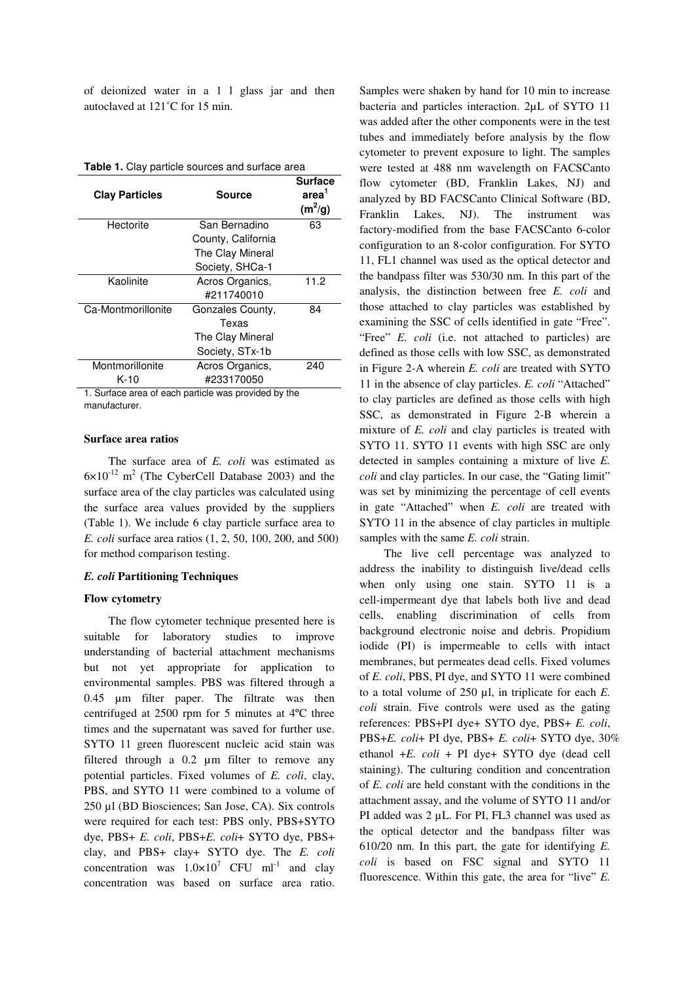of deionized water in a 1 l glass jar and then autoclaved at 121˚C for 15 min.

|  |  | Table 1. Clay particle sources and surface area |
|--|--|-------------------------------------------------|
|--|--|-------------------------------------------------|

| <b>Clay Particles</b>                                            | <b>Source</b>      |      |  |  |  |
|------------------------------------------------------------------|--------------------|------|--|--|--|
| Hectorite                                                        | San Bernadino      | 63   |  |  |  |
|                                                                  | County, California |      |  |  |  |
|                                                                  | The Clay Mineral   |      |  |  |  |
|                                                                  | Society, SHCa-1    |      |  |  |  |
| Kaolinite                                                        | Acros Organics,    | 11.2 |  |  |  |
|                                                                  | #211740010         |      |  |  |  |
| Ca-Montmorillonite                                               | Gonzales County,   | 84   |  |  |  |
|                                                                  | Texas              |      |  |  |  |
|                                                                  | The Clay Mineral   |      |  |  |  |
|                                                                  | Society, STx-1b    |      |  |  |  |
| Montmorillonite                                                  | Acros Organics,    | 240  |  |  |  |
| $K-10$                                                           | #233170050         |      |  |  |  |
| $\sim$ $\sim$<br>. .<br>$\cdots$<br>$\epsilon$<br>.<br>$\cdot$ . |                    |      |  |  |  |

1. Surface area of each particle was provided by the manufacturer.

### **Surface area ratios**

 The surface area of *E. coli* was estimated as  $6 \times 10^{-12}$  m<sup>2</sup> (The CyberCell Database 2003) and the surface area of the clay particles was calculated using the surface area values provided by the suppliers (Table 1). We include 6 clay particle surface area to *E. coli* surface area ratios (1, 2, 50, 100, 200, and 500) for method comparison testing.

#### *E. coli* **Partitioning Techniques**

#### **Flow cytometry**

The flow cytometer technique presented here is suitable for laboratory studies to improve understanding of bacterial attachment mechanisms but not yet appropriate for application to environmental samples. PBS was filtered through a 0.45 µm filter paper. The filtrate was then centrifuged at 2500 rpm for 5 minutes at 4ºC three times and the supernatant was saved for further use. SYTO 11 green fluorescent nucleic acid stain was filtered through a 0.2 µm filter to remove any potential particles. Fixed volumes of *E. coli*, clay, PBS, and SYTO 11 were combined to a volume of 250 µl (BD Biosciences; San Jose, CA). Six controls were required for each test: PBS only, PBS+SYTO dye, PBS+ *E. coli*, PBS+*E. coli*+ SYTO dye, PBS+ clay, and PBS+ clay+ SYTO dye. The *E. coli*  concentration was  $1.0 \times 10^7$  CFU ml<sup>-1</sup> and clay concentration was based on surface area ratio.

Samples were shaken by hand for 10 min to increase bacteria and particles interaction. 2µL of SYTO 11 was added after the other components were in the test tubes and immediately before analysis by the flow cytometer to prevent exposure to light. The samples were tested at 488 nm wavelength on FACSCanto flow cytometer (BD, Franklin Lakes, NJ) and analyzed by BD FACSCanto Clinical Software (BD, Franklin Lakes, NJ). The instrument was factory-modified from the base FACSCanto 6-color configuration to an 8-color configuration. For SYTO 11, FL1 channel was used as the optical detector and the bandpass filter was 530/30 nm. In this part of the analysis, the distinction between free *E. coli* and those attached to clay particles was established by examining the SSC of cells identified in gate "Free". "Free" *E. coli* (i.e. not attached to particles) are defined as those cells with low SSC, as demonstrated in Figure 2-A wherein *E. coli* are treated with SYTO 11 in the absence of clay particles. *E. coli* "Attached" to clay particles are defined as those cells with high SSC, as demonstrated in Figure 2-B wherein a mixture of *E. coli* and clay particles is treated with SYTO 11. SYTO 11 events with high SSC are only detected in samples containing a mixture of live *E. coli* and clay particles. In our case, the "Gating limit" was set by minimizing the percentage of cell events in gate "Attached" when *E. coli* are treated with SYTO 11 in the absence of clay particles in multiple samples with the same *E. coli* strain.

The live cell percentage was analyzed to address the inability to distinguish live/dead cells when only using one stain. SYTO 11 is a cell-impermeant dye that labels both live and dead cells, enabling discrimination of cells from background electronic noise and debris. Propidium iodide (PI) is impermeable to cells with intact membranes, but permeates dead cells. Fixed volumes of *E. coli*, PBS, PI dye, and SYTO 11 were combined to a total volume of 250 µl, in triplicate for each *E. coli* strain. Five controls were used as the gating references: PBS+PI dye+ SYTO dye, PBS+ *E. coli*, PBS+*E. coli*+ PI dye, PBS+ *E. coli*+ SYTO dye, 30% ethanol +*E. coli* + PI dye+ SYTO dye (dead cell staining). The culturing condition and concentration of *E. coli* are held constant with the conditions in the attachment assay, and the volume of SYTO 11 and/or PI added was 2 µL. For PI, FL3 channel was used as the optical detector and the bandpass filter was 610/20 nm. In this part, the gate for identifying *E. coli* is based on FSC signal and SYTO 11 fluorescence. Within this gate, the area for "live" *E.*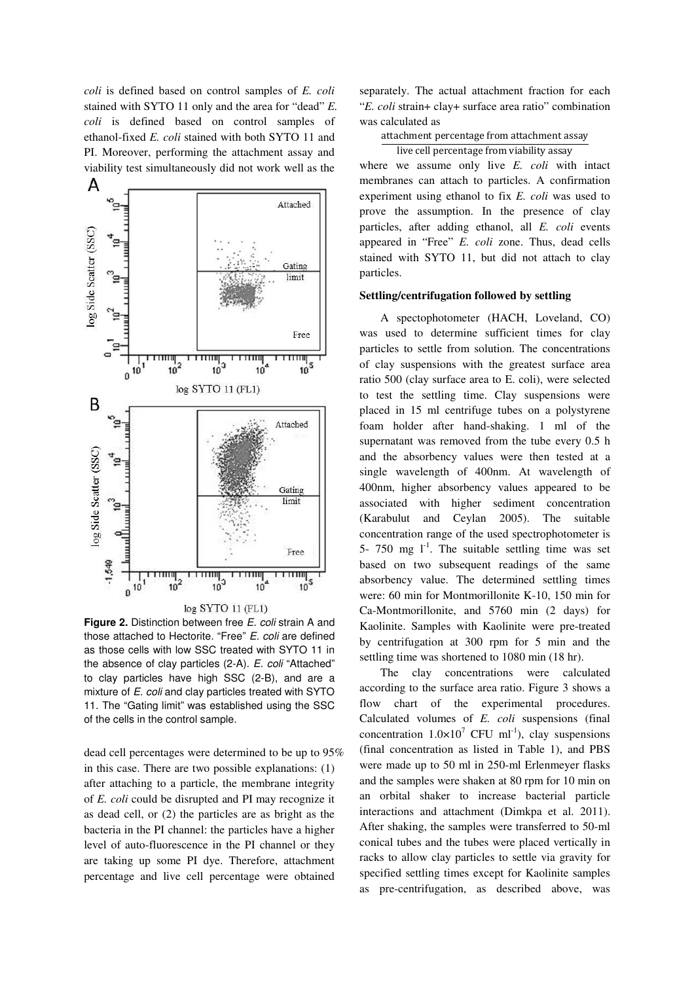*coli* is defined based on control samples of *E. coli* stained with SYTO 11 only and the area for "dead" *E. coli* is defined based on control samples of ethanol-fixed *E. coli* stained with both SYTO 11 and PI. Moreover, performing the attachment assay and viability test simultaneously did not work well as the



**Figure 2.** Distinction between free *E. coli* strain A and those attached to Hectorite. "Free" E. coli are defined as those cells with low SSC treated with SYTO 11 in the absence of clay particles (2-A). E. coli "Attached" to clay particles have high SSC (2-B), and are a mixture of E. coli and clay particles treated with SYTO 11. The "Gating limit" was established using the SSC of the cells in the control sample.

dead cell percentages were determined to be up to 95% in this case. There are two possible explanations: (1) after attaching to a particle, the membrane integrity of *E. coli* could be disrupted and PI may recognize it as dead cell, or (2) the particles are as bright as the bacteria in the PI channel: the particles have a higher level of auto-fluorescence in the PI channel or they are taking up some PI dye. Therefore, attachment percentage and live cell percentage were obtained

separately. The actual attachment fraction for each "*E. coli* strain+ clay+ surface area ratio" combination was calculated as

attachment percentage from attachment assay

live cell percentage from viability assay where we assume only live *E. coli* with intact membranes can attach to particles. A confirmation experiment using ethanol to fix *E. coli* was used to prove the assumption. In the presence of clay particles, after adding ethanol, all *E. coli* events appeared in "Free" *E. coli* zone. Thus, dead cells stained with SYTO 11, but did not attach to clay particles.

#### **Settling/centrifugation followed by settling**

A spectophotometer (HACH, Loveland, CO) was used to determine sufficient times for clay particles to settle from solution. The concentrations of clay suspensions with the greatest surface area ratio 500 (clay surface area to E. coli), were selected to test the settling time. Clay suspensions were placed in 15 ml centrifuge tubes on a polystyrene foam holder after hand-shaking. 1 ml of the supernatant was removed from the tube every 0.5 h and the absorbency values were then tested at a single wavelength of 400nm. At wavelength of 400nm, higher absorbency values appeared to be associated with higher sediment concentration (Karabulut and Ceylan 2005). The suitable concentration range of the used spectrophotometer is 5- 750 mg  $1^{-1}$ . The suitable settling time was set based on two subsequent readings of the same absorbency value. The determined settling times were: 60 min for Montmorillonite K-10, 150 min for Ca-Montmorillonite, and 5760 min (2 days) for Kaolinite. Samples with Kaolinite were pre-treated by centrifugation at 300 rpm for 5 min and the settling time was shortened to 1080 min (18 hr).

The clay concentrations were calculated according to the surface area ratio. Figure 3 shows a flow chart of the experimental procedures. Calculated volumes of *E. coli* suspensions (final concentration  $1.0 \times 10^7$  CFU ml<sup>-1</sup>), clay suspensions (final concentration as listed in Table 1), and PBS were made up to 50 ml in 250-ml Erlenmeyer flasks and the samples were shaken at 80 rpm for 10 min on an orbital shaker to increase bacterial particle interactions and attachment (Dimkpa et al. 2011). After shaking, the samples were transferred to 50-ml conical tubes and the tubes were placed vertically in racks to allow clay particles to settle via gravity for specified settling times except for Kaolinite samples as pre-centrifugation, as described above, was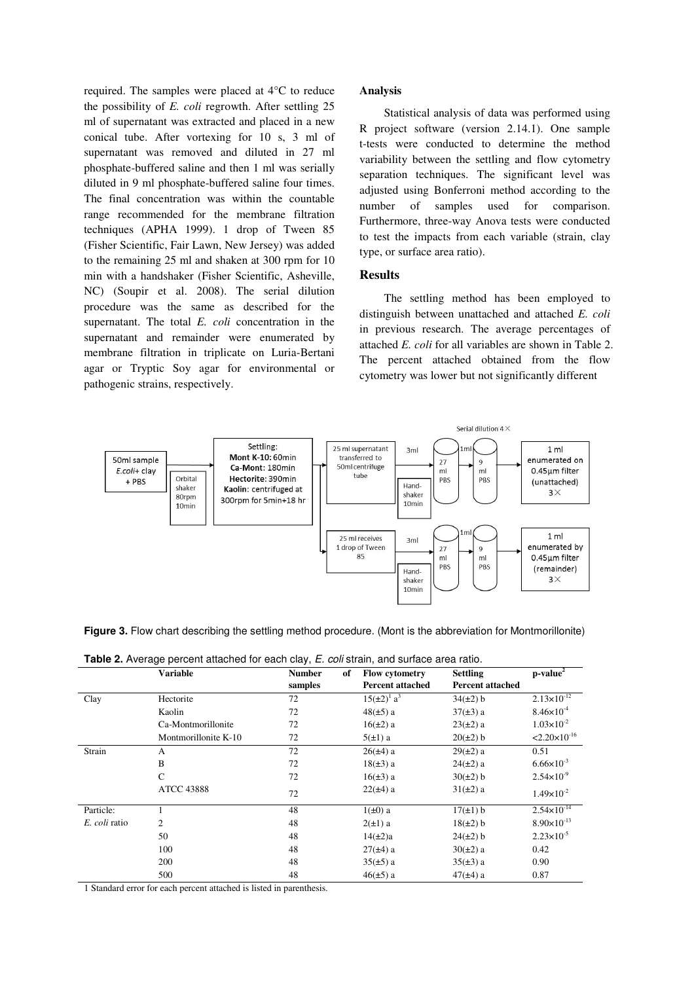required. The samples were placed at 4°C to reduce the possibility of *E. coli* regrowth. After settling 25 ml of supernatant was extracted and placed in a new conical tube. After vortexing for 10 s, 3 ml of supernatant was removed and diluted in 27 ml phosphate-buffered saline and then 1 ml was serially diluted in 9 ml phosphate-buffered saline four times. The final concentration was within the countable range recommended for the membrane filtration techniques (APHA 1999). 1 drop of Tween 85 (Fisher Scientific, Fair Lawn, New Jersey) was added to the remaining 25 ml and shaken at 300 rpm for 10 min with a handshaker (Fisher Scientific, Asheville, NC) (Soupir et al. 2008). The serial dilution procedure was the same as described for the supernatant. The total *E. coli* concentration in the supernatant and remainder were enumerated by membrane filtration in triplicate on Luria-Bertani agar or Tryptic Soy agar for environmental or pathogenic strains, respectively.

#### **Analysis**

 Statistical analysis of data was performed using R project software (version 2.14.1). One sample t-tests were conducted to determine the method variability between the settling and flow cytometry separation techniques. The significant level was adjusted using Bonferroni method according to the number of samples used for comparison. Furthermore, three-way Anova tests were conducted to test the impacts from each variable (strain, clay type, or surface area ratio).

# **Results**

The settling method has been employed to distinguish between unattached and attached *E. coli* in previous research. The average percentages of attached *E. coli* for all variables are shown in Table 2. The percent attached obtained from the flow cytometry was lower but not significantly different



Figure 3. Flow chart describing the settling method procedure. (Mont is the abbreviation for Montmorillonite)

**Table 2.** Average percent attached for each clay, E. coli strain, and surface area ratio.

|               | <b>Variable</b>      | <b>Number</b> | of | <b>Flow cytometry</b>          | <b>Settling</b>         | $p-value2$               |
|---------------|----------------------|---------------|----|--------------------------------|-------------------------|--------------------------|
|               |                      | samples       |    | <b>Percent attached</b>        | <b>Percent attached</b> |                          |
| Clay          | Hectorite            | 72            |    | $15(\pm 2)^{1}$ a <sup>3</sup> | $34(\pm 2)$ b           | $2.13 \times 10^{-12}$   |
|               | Kaolin               | 72            |    | $48(\pm 5)$ a                  | $37(\pm 3)$ a           | $8.46 \times 10^{-4}$    |
|               | Ca-Montmorillonite   | 72            |    | $16(\pm 2)$ a                  | $23(\pm 2)$ a           | $1.03 \times 10^{-2}$    |
|               | Montmorillonite K-10 | 72            |    | $5(\pm 1)$ a                   | $20(\pm 2)$ b           | $< 2.20 \times 10^{-16}$ |
| Strain        | A                    | 72            |    | $26(\pm 4)$ a                  | $29(\pm 2)$ a           | 0.51                     |
|               | B                    | 72            |    | $18(\pm 3)$ a                  | $24(\pm 2)$ a           | $6.66 \times 10^{-3}$    |
|               | $\mathsf{C}$         | 72            |    | $16(\pm 3) a$                  | $30(\pm 2)$ b           | $2.54 \times 10^{-9}$    |
|               | <b>ATCC 43888</b>    | 72            |    | $22(\pm 4)$ a                  | $31(\pm 2)$ a           | $1.49\times10^{-2}$      |
| Particle:     |                      | 48            |    | $1(\pm 0)$ a                   | $17(\pm 1)$ b           | $2.54 \times 10^{-14}$   |
| E. coli ratio | 2                    | 48            |    | $2(\pm 1)$ a                   | $18(\pm 2)$ b           | $8.90\times10^{-13}$     |
|               | 50                   | 48            |    | $14(\pm 2)a$                   | $24(\pm 2)$ b           | $2.23 \times 10^{-5}$    |
|               | 100                  | 48            |    | $27(\pm 4)$ a                  | $30(\pm 2)$ a           | 0.42                     |
|               | 200                  | 48            |    | $35(\pm 5)$ a                  | $35(\pm 3)$ a           | 0.90                     |
|               | 500                  | 48            |    | $46(\pm 5)$ a                  | $47(\pm 4)$ a           | 0.87                     |

1 Standard error for each percent attached is listed in parenthesis.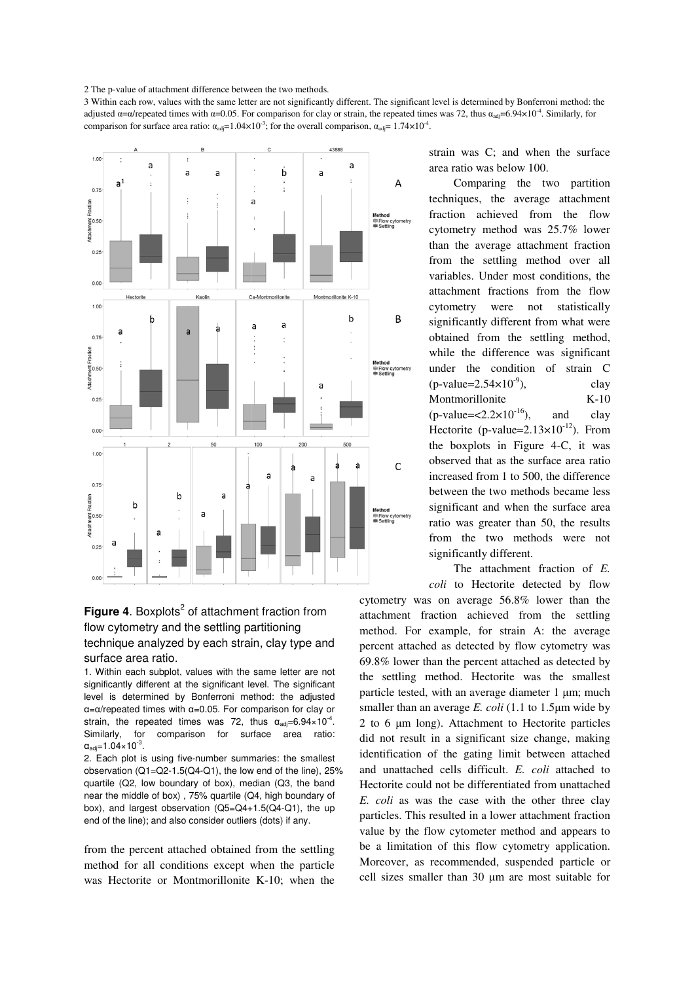2 The p-value of attachment difference between the two methods.

3 Within each row, values with the same letter are not significantly different. The significant level is determined by Bonferroni method: the 3 Within each row, values with the same letter are not significantly different. The significant level is determined by Bonferroni method: the adjusted α=α/repeated times with α=0.05. For comparison for clay or strain, the comparison for surface area ratio:  $\alpha_{\text{adj}} = 1.04 \times 10^{-3}$ ; for the overall comparison,  $\alpha_{\text{adj}} = 1.74 \times 10^{-4}$ .



# **Figure 4.** Boxplots<sup>2</sup> of attachment fraction from flow cytometry and the settling partitioning technique analyzed by each strain, clay type and surface area ratio.

1. Within each subplot, values with the same letter are not significantly different at the significant level. The significant level is determined by Bonferroni method: the adjusted α=α/repeated times with α=0.05. For comparison for clay or strain, the repeated times was 72, thus  $\alpha_{\text{adj}} = 6.94 \times 10^{-4}$ . Similarly, for comparison for surface area ratio:  $\alpha_{\text{adj}}$ =1.04×10<sup>-3</sup>.

2. Each plot is using five-number summaries: the smallest observation (Q1=Q2-1.5(Q4-Q1), the low end of the line), 25% quartile (Q2, low boundary of box), median (Q3, the band near the middle of box) , 75% quartile (Q4, high boundary of box), and largest observation (Q5=Q4+1.5(Q4-Q1), the up end of the line); and also consider outliers (dots) if any. number summaries: the smallest<br>4-Q1), the low end of the line), 25<sup>-</sup><br>y of box), median (Q3, the band<br>5% quartile (Q4, high boundary of<br>tion (Q5=Q4+1.5(Q4-Q1), the up

from the percent attached obtained from the settling method for all conditions except when the particle was Hectorite or Montmorillonite K K-10; when the strain was C; and when the surface area ratio was below 100.

Comparing the two partition techniques, the average attachment fraction achieved from the flow cytometry method was 25.7% lower than the average attachment fraction from the settling method over all variables. Under most conditions, the variables. Under most conditions, the attachment fractions from the flow cytometry were were not statistically significantly different from what were obtained from the settling method, while the difference was significant under the condition of strain C  $(p$ -value= $2.54\times10$ Montmorillonite  $(p$ -value= $\langle 2.2 \times 10^{-16} \rangle$ , and clay Hectorite (p-value= $2.13 \times 10^{-12}$ ). From the boxplots in Figure 4-C, it was observed that as the surface area ratio increased from 1 to 500, the difference between the two methods became less significant and when the surface area ratio was greater than 50, the results from the two methods were not significantly different. %; and when the surface<br>below 100.<br>ing the two partition<br>the average attachment<br>ieved from the flow<br>ethod was 25.7% lower clay K-10

The attachment fraction of *E. coli* to Hectorite detected by flow

cytometry was on average 56.8 56.8% lower than the attachment fraction achieved from the settling method. For example, for strain A: the average percent attached as detected by flow cytometry was 69.8% lower than the percent attached as detected by the settling method. Hectorite was the smallest particle tested, with an average diameter 1 µm; much smaller than an average *E. coli* (1.1 to 1.5µm wide by 2 to 6 µm long). Attachment to Hectorite particles did not result in a significant size change, making identification of the gating limit between attached and unattached cells difficult. *E. coli* attached to Hectorite could not be differentiated from unattached E. coli as was the case with the other three clay particles. This resulted in a lower attachment fraction value by the flow cytometer method and appears to be a limitation of this flow cytometry application. Moreover, as recommended, suspended particle or cell sizes smaller than 30 µm are most suitable for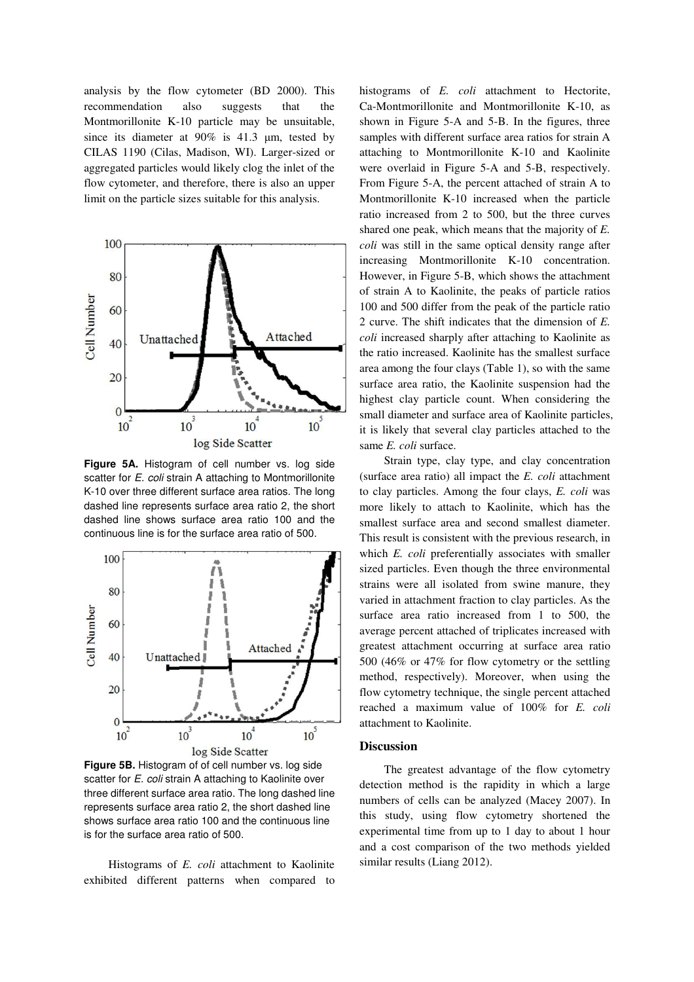analysis by the flow cytometer (BD 2000). This recommendation also suggests that the Montmorillonite K-10 particle may be unsuitable, since its diameter at 90% is 41.3 µm, tested by CILAS 1190 (Cilas, Madison, WI). Larger-sized or aggregated particles would likely clog the inlet of the flow cytometer, and therefore, there is also an upper limit on the particle sizes suitable for this analysis.



**Figure 5A.** Histogram of cell number vs. log side scatter for E. coli strain A attaching to Montmorillonite K-10 over three different surface area ratios. The long dashed line represents surface area ratio 2, the short dashed line shows surface area ratio 100 and the continuous line is for the surface area ratio of 500.



**Figure 5B.** Histogram of of cell number vs. log side scatter for E. coli strain A attaching to Kaolinite over three different surface area ratio. The long dashed line represents surface area ratio 2, the short dashed line shows surface area ratio 100 and the continuous line is for the surface area ratio of 500.

 Histograms of *E. coli* attachment to Kaolinite exhibited different patterns when compared to

histograms of *E. coli* attachment to Hectorite, Ca-Montmorillonite and Montmorillonite K-10, as shown in Figure 5-A and 5-B. In the figures, three samples with different surface area ratios for strain A attaching to Montmorillonite K-10 and Kaolinite were overlaid in Figure 5-A and 5-B, respectively. From Figure 5-A, the percent attached of strain A to Montmorillonite K-10 increased when the particle ratio increased from 2 to 500, but the three curves shared one peak, which means that the majority of *E. coli* was still in the same optical density range after increasing Montmorillonite K-10 concentration. However, in Figure 5-B, which shows the attachment of strain A to Kaolinite, the peaks of particle ratios 100 and 500 differ from the peak of the particle ratio 2 curve. The shift indicates that the dimension of *E. coli* increased sharply after attaching to Kaolinite as the ratio increased. Kaolinite has the smallest surface area among the four clays (Table 1), so with the same surface area ratio, the Kaolinite suspension had the highest clay particle count. When considering the small diameter and surface area of Kaolinite particles, it is likely that several clay particles attached to the same *E. coli* surface.

 Strain type, clay type, and clay concentration (surface area ratio) all impact the *E. coli* attachment to clay particles. Among the four clays, *E. coli* was more likely to attach to Kaolinite, which has the smallest surface area and second smallest diameter. This result is consistent with the previous research, in which *E. coli* preferentially associates with smaller sized particles. Even though the three environmental strains were all isolated from swine manure, they varied in attachment fraction to clay particles. As the surface area ratio increased from 1 to 500, the average percent attached of triplicates increased with greatest attachment occurring at surface area ratio 500 (46% or 47% for flow cytometry or the settling method, respectively). Moreover, when using the flow cytometry technique, the single percent attached reached a maximum value of 100% for *E. coli* attachment to Kaolinite.

#### **Discussion**

The greatest advantage of the flow cytometry detection method is the rapidity in which a large numbers of cells can be analyzed (Macey 2007). In this study, using flow cytometry shortened the experimental time from up to 1 day to about 1 hour and a cost comparison of the two methods yielded similar results (Liang 2012).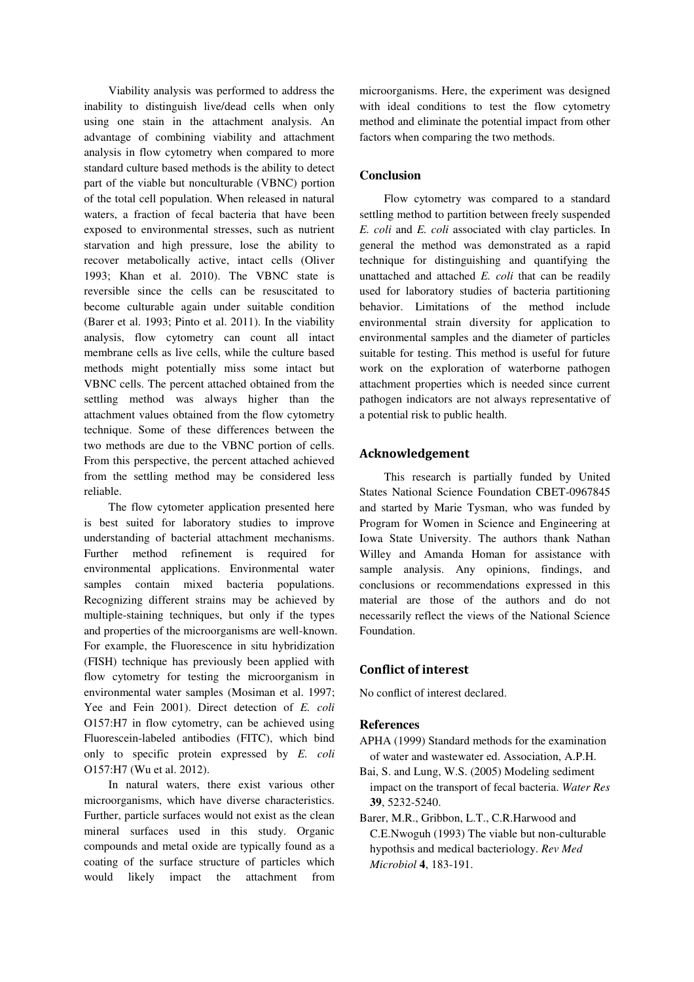Viability analysis was performed to address the inability to distinguish live/dead cells when only using one stain in the attachment analysis. An advantage of combining viability and attachment analysis in flow cytometry when compared to more standard culture based methods is the ability to detect part of the viable but nonculturable (VBNC) portion of the total cell population. When released in natural waters, a fraction of fecal bacteria that have been exposed to environmental stresses, such as nutrient starvation and high pressure, lose the ability to recover metabolically active, intact cells (Oliver 1993; Khan et al. 2010). The VBNC state is reversible since the cells can be resuscitated to become culturable again under suitable condition (Barer et al. 1993; Pinto et al. 2011). In the viability analysis, flow cytometry can count all intact membrane cells as live cells, while the culture based methods might potentially miss some intact but VBNC cells. The percent attached obtained from the settling method was always higher than the attachment values obtained from the flow cytometry technique. Some of these differences between the two methods are due to the VBNC portion of cells. From this perspective, the percent attached achieved from the settling method may be considered less reliable.

 The flow cytometer application presented here is best suited for laboratory studies to improve understanding of bacterial attachment mechanisms. Further method refinement is required for environmental applications. Environmental water samples contain mixed bacteria populations. Recognizing different strains may be achieved by multiple-staining techniques, but only if the types and properties of the microorganisms are well-known. For example, the Fluorescence in situ hybridization (FISH) technique has previously been applied with flow cytometry for testing the microorganism in environmental water samples (Mosiman et al. 1997; Yee and Fein 2001). Direct detection of *E. coli*  O157:H7 in flow cytometry, can be achieved using Fluorescein-labeled antibodies (FITC), which bind only to specific protein expressed by *E. coli*  O157:H7 (Wu et al. 2012).

 In natural waters, there exist various other microorganisms, which have diverse characteristics. Further, particle surfaces would not exist as the clean mineral surfaces used in this study. Organic compounds and metal oxide are typically found as a coating of the surface structure of particles which would likely impact the attachment from

microorganisms. Here, the experiment was designed with ideal conditions to test the flow cytometry method and eliminate the potential impact from other factors when comparing the two methods.

# **Conclusion**

Flow cytometry was compared to a standard settling method to partition between freely suspended *E. coli* and *E. coli* associated with clay particles. In general the method was demonstrated as a rapid technique for distinguishing and quantifying the unattached and attached *E. coli* that can be readily used for laboratory studies of bacteria partitioning behavior. Limitations of the method include environmental strain diversity for application to environmental samples and the diameter of particles suitable for testing. This method is useful for future work on the exploration of waterborne pathogen attachment properties which is needed since current pathogen indicators are not always representative of a potential risk to public health.

## Acknowledgement

 This research is partially funded by United States National Science Foundation CBET-0967845 and started by Marie Tysman, who was funded by Program for Women in Science and Engineering at Iowa State University. The authors thank Nathan Willey and Amanda Homan for assistance with sample analysis. Any opinions, findings, and conclusions or recommendations expressed in this material are those of the authors and do not necessarily reflect the views of the National Science Foundation.

# Conflict of interest

No conflict of interest declared.

#### **References**

- APHA (1999) Standard methods for the examination of water and wastewater ed. Association, A.P.H.
- Bai, S. and Lung, W.S. (2005) Modeling sediment impact on the transport of fecal bacteria. *Water Res* **39**, 5232-5240.
- Barer, M.R., Gribbon, L.T., C.R.Harwood and C.E.Nwoguh (1993) The viable but non-culturable hypothsis and medical bacteriology. *Rev Med Microbiol* **4**, 183-191.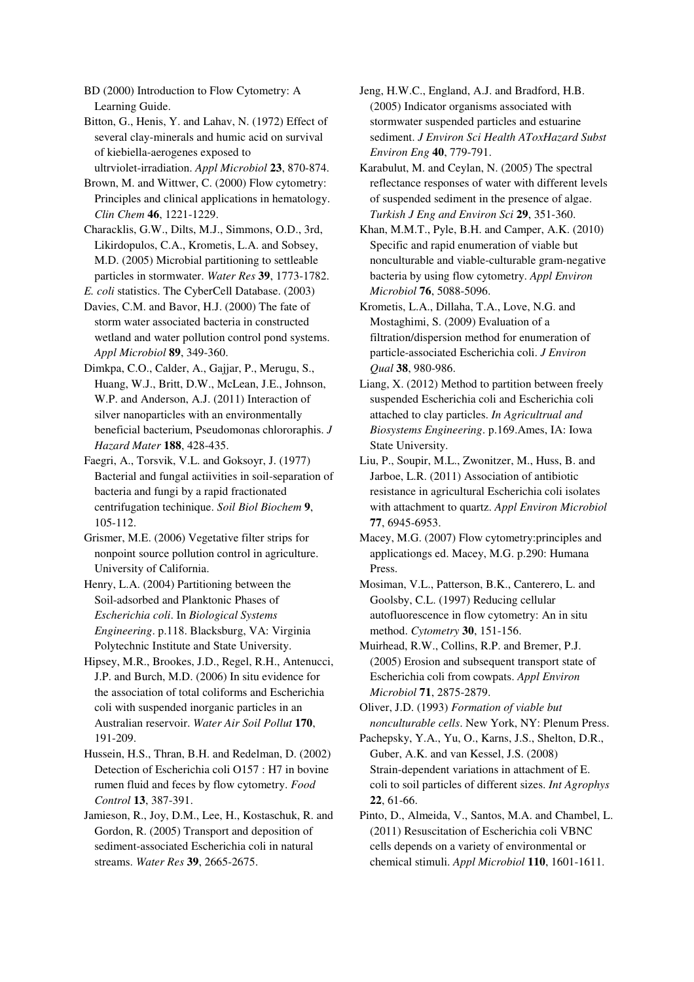BD (2000) Introduction to Flow Cytometry: A Learning Guide.

Bitton, G., Henis, Y. and Lahav, N. (1972) Effect of several clay-minerals and humic acid on survival of kiebiella-aerogenes exposed to

ultrviolet-irradiation. *Appl Microbiol* **23**, 870-874.

Brown, M. and Wittwer, C. (2000) Flow cytometry: Principles and clinical applications in hematology. *Clin Chem* **46**, 1221-1229.

Characklis, G.W., Dilts, M.J., Simmons, O.D., 3rd, Likirdopulos, C.A., Krometis, L.A. and Sobsey, M.D. (2005) Microbial partitioning to settleable particles in stormwater. *Water Res* **39**, 1773-1782.

*E. coli* statistics. The CyberCell Database. (2003)

Davies, C.M. and Bavor, H.J. (2000) The fate of storm water associated bacteria in constructed wetland and water pollution control pond systems. *Appl Microbiol* **89**, 349-360.

Dimkpa, C.O., Calder, A., Gajjar, P., Merugu, S., Huang, W.J., Britt, D.W., McLean, J.E., Johnson, W.P. and Anderson, A.J. (2011) Interaction of silver nanoparticles with an environmentally beneficial bacterium, Pseudomonas chlororaphis. *J Hazard Mater* **188**, 428-435.

Faegri, A., Torsvik, V.L. and Goksoyr, J. (1977) Bacterial and fungal actiivities in soil-separation of bacteria and fungi by a rapid fractionated centrifugation techinique. *Soil Biol Biochem* **9**, 105-112.

Grismer, M.E. (2006) Vegetative filter strips for nonpoint source pollution control in agriculture. University of California.

Henry, L.A. (2004) Partitioning between the Soil-adsorbed and Planktonic Phases of *Escherichia coli*. In *Biological Systems Engineering*. p.118. Blacksburg, VA: Virginia Polytechnic Institute and State University.

Hipsey, M.R., Brookes, J.D., Regel, R.H., Antenucci, J.P. and Burch, M.D. (2006) In situ evidence for the association of total coliforms and Escherichia coli with suspended inorganic particles in an Australian reservoir. *Water Air Soil Pollut* **170**, 191-209.

Hussein, H.S., Thran, B.H. and Redelman, D. (2002) Detection of Escherichia coli O157 : H7 in bovine rumen fluid and feces by flow cytometry. *Food Control* **13**, 387-391.

Jamieson, R., Joy, D.M., Lee, H., Kostaschuk, R. and Gordon, R. (2005) Transport and deposition of sediment-associated Escherichia coli in natural streams. *Water Res* **39**, 2665-2675.

Jeng, H.W.C., England, A.J. and Bradford, H.B. (2005) Indicator organisms associated with stormwater suspended particles and estuarine sediment. *J Environ Sci Health AToxHazard Subst Environ Eng* **40**, 779-791.

Karabulut, M. and Ceylan, N. (2005) The spectral reflectance responses of water with different levels of suspended sediment in the presence of algae. *Turkish J Eng and Environ Sci* **29**, 351-360.

Khan, M.M.T., Pyle, B.H. and Camper, A.K. (2010) Specific and rapid enumeration of viable but nonculturable and viable-culturable gram-negative bacteria by using flow cytometry. *Appl Environ Microbiol* **76**, 5088-5096.

Krometis, L.A., Dillaha, T.A., Love, N.G. and Mostaghimi, S. (2009) Evaluation of a filtration/dispersion method for enumeration of particle-associated Escherichia coli. *J Environ Qual* **38**, 980-986.

Liang, X. (2012) Method to partition between freely suspended Escherichia coli and Escherichia coli attached to clay particles. *In Agricultrual and Biosystems Engineering*. p.169.Ames, IA: Iowa State University.

Liu, P., Soupir, M.L., Zwonitzer, M., Huss, B. and Jarboe, L.R. (2011) Association of antibiotic resistance in agricultural Escherichia coli isolates with attachment to quartz. *Appl Environ Microbiol* **77**, 6945-6953.

Macey, M.G. (2007) Flow cytometry:principles and applicationgs ed. Macey, M.G. p.290: Humana Press.

Mosiman, V.L., Patterson, B.K., Canterero, L. and Goolsby, C.L. (1997) Reducing cellular autofluorescence in flow cytometry: An in situ method. *Cytometry* **30**, 151-156.

Muirhead, R.W., Collins, R.P. and Bremer, P.J. (2005) Erosion and subsequent transport state of Escherichia coli from cowpats. *Appl Environ Microbiol* **71**, 2875-2879.

Oliver, J.D. (1993) *Formation of viable but nonculturable cells*. New York, NY: Plenum Press.

Pachepsky, Y.A., Yu, O., Karns, J.S., Shelton, D.R., Guber, A.K. and van Kessel, J.S. (2008) Strain-dependent variations in attachment of E. coli to soil particles of different sizes. *Int Agrophys* **22**, 61-66.

Pinto, D., Almeida, V., Santos, M.A. and Chambel, L. (2011) Resuscitation of Escherichia coli VBNC cells depends on a variety of environmental or chemical stimuli. *Appl Microbiol* **110**, 1601-1611.